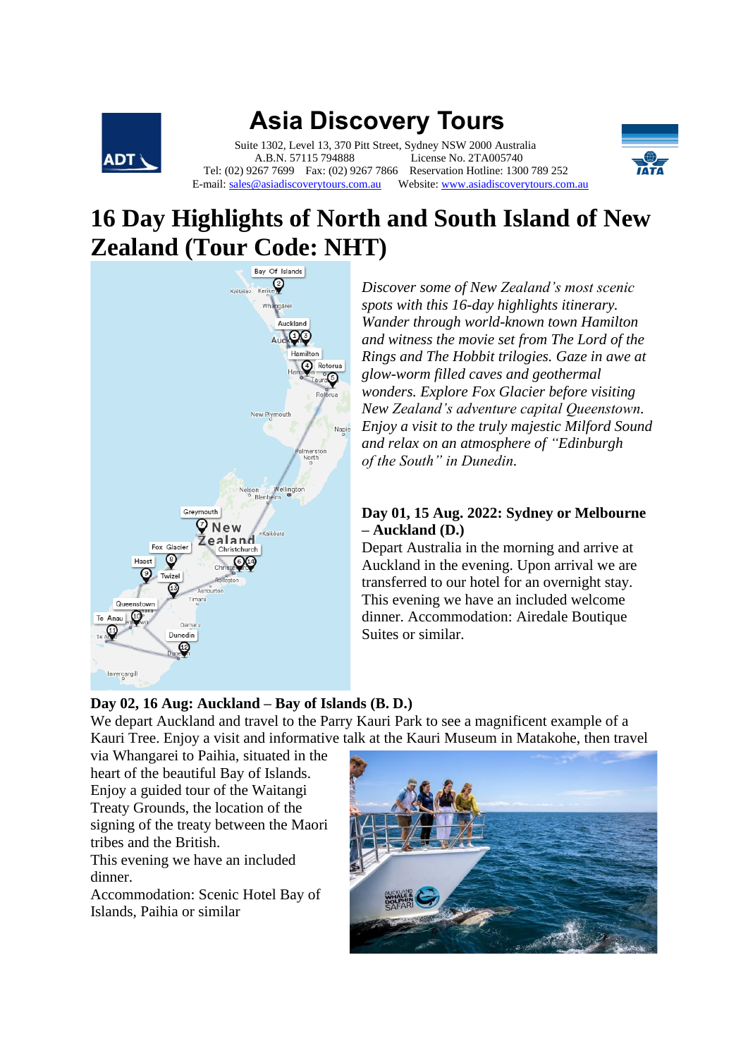

# **Asia Discovery Tours**

 Suite 1302, Level 13, 370 Pitt Street, Sydney NSW 2000 Australia A.B.N. 57115 794888 License No. 2TA005740 Tel: (02) 9267 7699 Fax: (02) 9267 7866 Reservation Hotline: 1300 789 252 E-mail[: sales@asiadiscoverytours.com.au](mailto:sales@asiadiscoverytours.com.au) Website[: www.asiadiscoverytours.com.au](http://www.asiadiscoverytours.com.au/)



## **16 Day Highlights of North and South Island of New Zealand (Tour Code: NHT)**



*Discover some of New Zealand's most scenic spots with this 16-day highlights itinerary. Wander through world-known town Hamilton and witness the movie set from The Lord of the Rings and The Hobbit trilogies. Gaze in awe at glow-worm filled caves and geothermal wonders. Explore Fox Glacier before visiting New Zealand's adventure capital Queenstown. Enjoy a visit to the truly majestic Milford Sound and relax on an atmosphere of "Edinburgh of the South" in Dunedin.*

## **Day 01, 15 Aug. 2022: Sydney or Melbourne – Auckland (D.)**

Depart Australia in the morning and arrive at Auckland in the evening. Upon arrival we are transferred to our hotel for an overnight stay. This evening we have an included welcome dinner. Accommodation: Airedale Boutique Suites or similar.

## **Day 02, 16 Aug: Auckland – Bay of Islands (B. D.)**

We depart Auckland and travel to the Parry Kauri Park to see a magnificent example of a Kauri Tree. Enjoy a visit and informative talk at the Kauri Museum in Matakohe, then travel

via Whangarei to Paihia, situated in the heart of the beautiful Bay of Islands. Enjoy a guided tour of the Waitangi Treaty Grounds, the location of the signing of the treaty between the Maori tribes and the British.

This evening we have an included dinner.

Accommodation: Scenic Hotel Bay of Islands, Paihia or similar

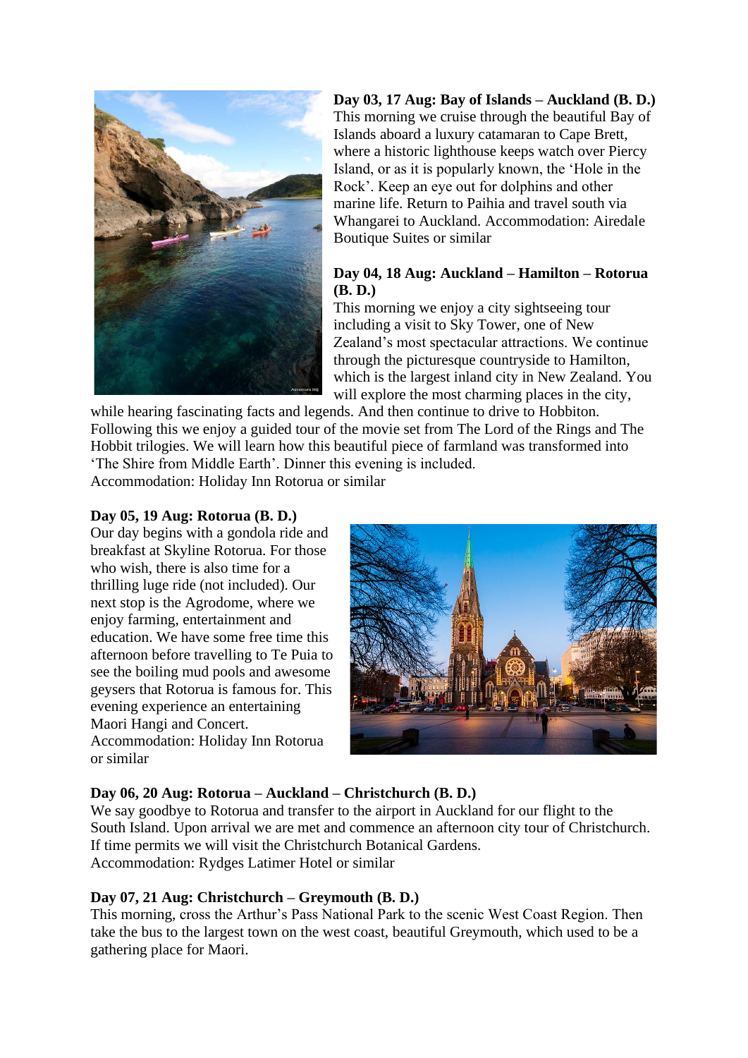

## **Day 03, 17 Aug: Bay of Islands – Auckland (B. D.)**

This morning we cruise through the beautiful Bay of Islands aboard a luxury catamaran to Cape Brett, where a historic lighthouse keeps watch over Piercy Island, or as it is popularly known, the 'Hole in the Rock'. Keep an eye out for dolphins and other marine life. Return to Paihia and travel south via Whangarei to Auckland. Accommodation: Airedale Boutique Suites or similar

## **Day 04, 18 Aug: Auckland – Hamilton – Rotorua (B. D.)**

This morning we enjoy a city sightseeing tour including a visit to Sky Tower, one of New Zealand's most spectacular attractions. We continue through the picturesque countryside to Hamilton, which is the largest inland city in New Zealand. You will explore the most charming places in the city,

while hearing fascinating facts and legends. And then continue to drive to Hobbiton. Following this we enjoy a guided tour of the movie set from The Lord of the Rings and The Hobbit trilogies. We will learn how this beautiful piece of farmland was transformed into 'The Shire from Middle Earth'. Dinner this evening is included.

Accommodation: Holiday Inn Rotorua or similar

## **Day 05, 19 Aug: Rotorua (B. D.)**

Our day begins with a gondola ride and breakfast at Skyline Rotorua. For those who wish, there is also time for a thrilling luge ride (not included). Our next stop is the Agrodome, where we enjoy farming, entertainment and education. We have some free time this afternoon before travelling to Te Puia to see the boiling mud pools and awesome geysers that Rotorua is famous for. This evening experience an entertaining Maori Hangi and Concert. Accommodation: Holiday Inn Rotorua or similar



## **Day 06, 20 Aug: Rotorua – Auckland – Christchurch (B. D.)**

We say goodbye to Rotorua and transfer to the airport in Auckland for our flight to the South Island. Upon arrival we are met and commence an afternoon city tour of Christchurch. If time permits we will visit the Christchurch Botanical Gardens. Accommodation: Rydges Latimer Hotel or similar

## **Day 07, 21 Aug: Christchurch – Greymouth (B. D.)**

This morning, cross the Arthur's Pass National Park to the scenic West Coast Region. Then take the bus to the largest town on the west coast, beautiful Greymouth, which used to be a gathering place for Maori.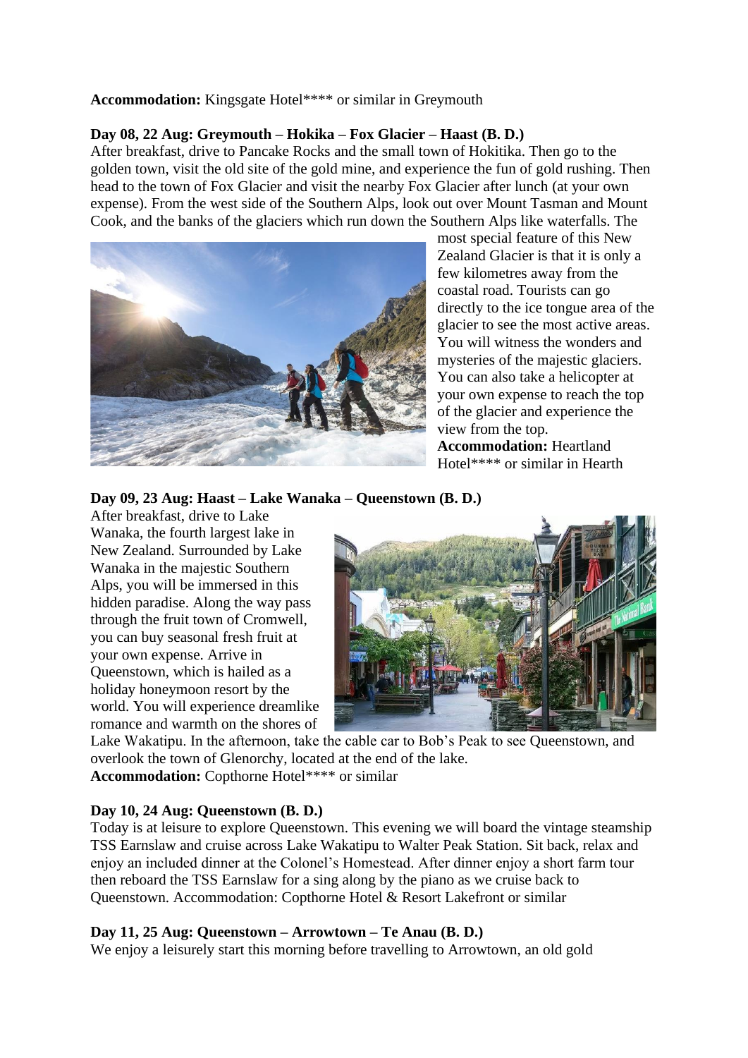### **Accommodation:** Kingsgate Hotel\*\*\*\* or similar in Greymouth

## **Day 08, 22 Aug: Greymouth – Hokika – Fox Glacier – Haast (B. D.)**

After breakfast, drive to Pancake Rocks and the small town of Hokitika. Then go to the golden town, visit the old site of the gold mine, and experience the fun of gold rushing. Then head to the town of Fox Glacier and visit the nearby Fox Glacier after lunch (at your own expense). From the west side of the Southern Alps, look out over Mount Tasman and Mount Cook, and the banks of the glaciers which run down the Southern Alps like waterfalls. The



most special feature of this New Zealand Glacier is that it is only a few kilometres away from the coastal road. Tourists can go directly to the ice tongue area of the glacier to see the most active areas. You will witness the wonders and mysteries of the majestic glaciers. You can also take a helicopter at your own expense to reach the top of the glacier and experience the view from the top. **Accommodation:** Heartland

Hotel\*\*\*\* or similar in Hearth

**Day 09, 23 Aug: Haast – Lake Wanaka – Queenstown (B. D.)**

After breakfast, drive to Lake Wanaka, the fourth largest lake in New Zealand. Surrounded by Lake Wanaka in the majestic Southern Alps, you will be immersed in this hidden paradise. Along the way pass through the fruit town of Cromwell, you can buy seasonal fresh fruit at your own expense. Arrive in Queenstown, which is hailed as a holiday honeymoon resort by the world. You will experience dreamlike romance and warmth on the shores of



Lake Wakatipu. In the afternoon, take the cable car to Bob's Peak to see Queenstown, and overlook the town of Glenorchy, located at the end of the lake. **Accommodation:** Copthorne Hotel\*\*\*\* or similar

#### **Day 10, 24 Aug: Queenstown (B. D.)**

Today is at leisure to explore Queenstown. This evening we will board the vintage steamship TSS Earnslaw and cruise across Lake Wakatipu to Walter Peak Station. Sit back, relax and enjoy an included dinner at the Colonel's Homestead. After dinner enjoy a short farm tour then reboard the TSS Earnslaw for a sing along by the piano as we cruise back to Queenstown. Accommodation: Copthorne Hotel & Resort Lakefront or similar

#### **Day 11, 25 Aug: Queenstown – Arrowtown – Te Anau (B. D.)**

We enjoy a leisurely start this morning before travelling to Arrowtown, an old gold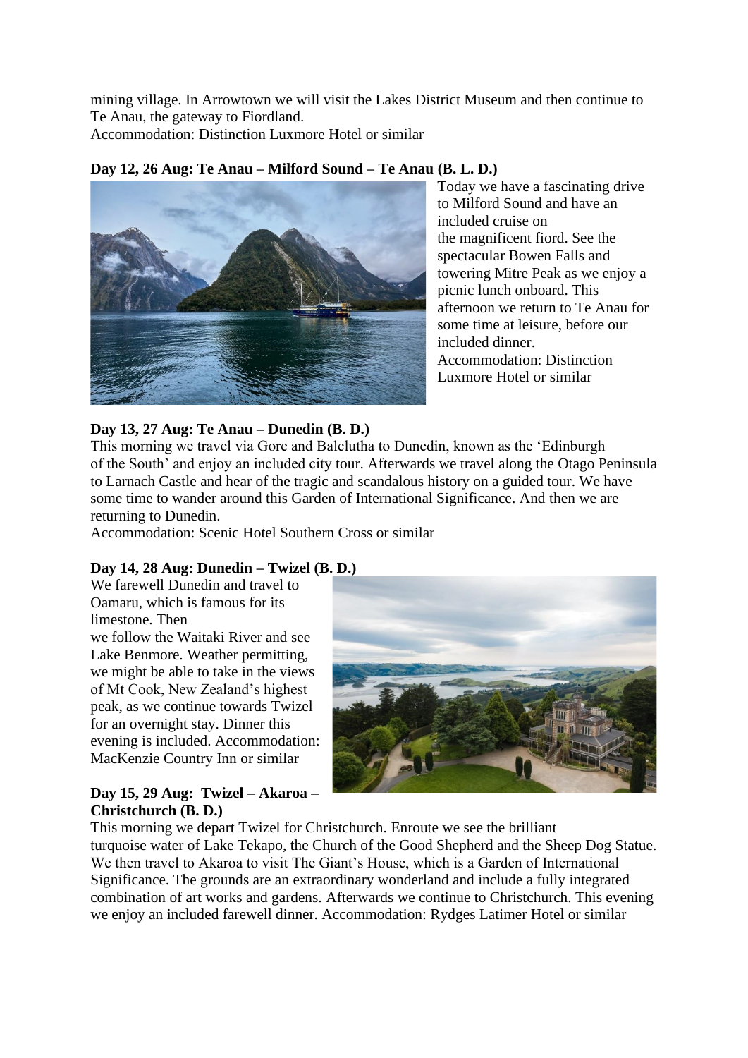mining village. In Arrowtown we will visit the Lakes District Museum and then continue to Te Anau, the gateway to Fiordland.

Accommodation: Distinction Luxmore Hotel or similar

## **Day 12, 26 Aug: Te Anau – Milford Sound – Te Anau (B. L. D.)**



Today we have a fascinating drive to Milford Sound and have an included cruise on the magnificent fiord. See the spectacular Bowen Falls and towering Mitre Peak as we enjoy a picnic lunch onboard. This afternoon we return to Te Anau for some time at leisure, before our included dinner. Accommodation: Distinction Luxmore Hotel or similar

## **Day 13, 27 Aug: Te Anau – Dunedin (B. D.)**

This morning we travel via Gore and Balclutha to Dunedin, known as the 'Edinburgh of the South' and enjoy an included city tour. Afterwards we travel along the Otago Peninsula to Larnach Castle and hear of the tragic and scandalous history on a guided tour. We have some time to wander around this Garden of International Significance. And then we are returning to Dunedin.

Accommodation: Scenic Hotel Southern Cross or similar

## **Day 14, 28 Aug: Dunedin – Twizel (B. D.)**

We farewell Dunedin and travel to Oamaru, which is famous for its limestone. Then we follow the Waitaki River and see Lake Benmore. Weather permitting, we might be able to take in the views of Mt Cook, New Zealand's highest peak, as we continue towards Twizel for an overnight stay. Dinner this evening is included. Accommodation: MacKenzie Country Inn or similar



## **Day 15, 29 Aug: Twizel – Akaroa – Christchurch (B. D.)**

This morning we depart Twizel for Christchurch. Enroute we see the brilliant turquoise water of Lake Tekapo, the Church of the Good Shepherd and the Sheep Dog Statue. We then travel to Akaroa to visit The Giant's House, which is a Garden of International Significance. The grounds are an extraordinary wonderland and include a fully integrated combination of art works and gardens. Afterwards we continue to Christchurch. This evening we enjoy an included farewell dinner. Accommodation: Rydges Latimer Hotel or similar